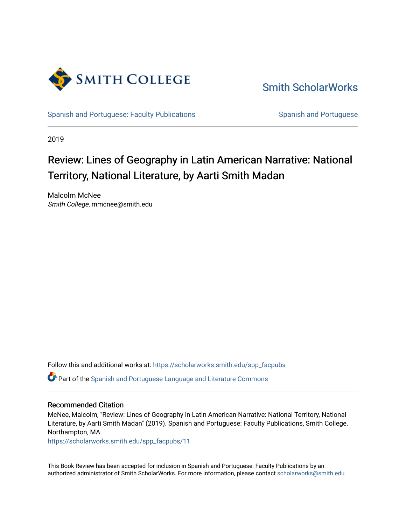

[Smith ScholarWorks](https://scholarworks.smith.edu/) 

[Spanish and Portuguese: Faculty Publications](https://scholarworks.smith.edu/spp_facpubs) Spanish and Portuguese

2019

## Review: Lines of Geography in Latin American Narrative: National Territory, National Literature, by Aarti Smith Madan

Malcolm McNee Smith College, mmcnee@smith.edu

Follow this and additional works at: [https://scholarworks.smith.edu/spp\\_facpubs](https://scholarworks.smith.edu/spp_facpubs?utm_source=scholarworks.smith.edu%2Fspp_facpubs%2F11&utm_medium=PDF&utm_campaign=PDFCoverPages) 

Part of the [Spanish and Portuguese Language and Literature Commons](https://network.bepress.com/hgg/discipline/546?utm_source=scholarworks.smith.edu%2Fspp_facpubs%2F11&utm_medium=PDF&utm_campaign=PDFCoverPages)

## Recommended Citation

McNee, Malcolm, "Review: Lines of Geography in Latin American Narrative: National Territory, National Literature, by Aarti Smith Madan" (2019). Spanish and Portuguese: Faculty Publications, Smith College, Northampton, MA.

[https://scholarworks.smith.edu/spp\\_facpubs/11](https://scholarworks.smith.edu/spp_facpubs/11?utm_source=scholarworks.smith.edu%2Fspp_facpubs%2F11&utm_medium=PDF&utm_campaign=PDFCoverPages)

This Book Review has been accepted for inclusion in Spanish and Portuguese: Faculty Publications by an authorized administrator of Smith ScholarWorks. For more information, please contact [scholarworks@smith.edu](mailto:scholarworks@smith.edu)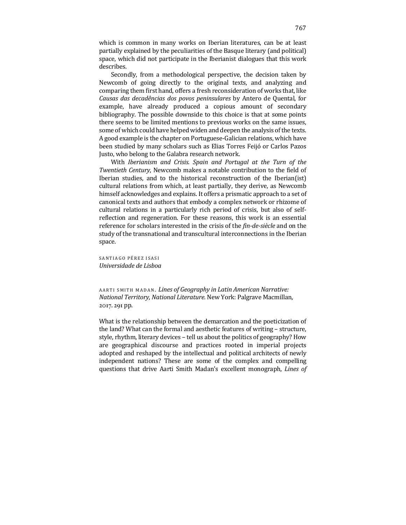which is common in many works on Iberian literatures, can be at least partially explained by the peculiarities of the Basque literary (and political) space, which did not participate in the Iberianist dialogues that this work describes.

Secondly, from a methodological perspective, the decision taken by Newcomb of going directly to the original texts, and analyzing and comparing them first hand, offers a fresh reconsideration of works that, like *Causas das decadências dos povos peninsulares* by Antero de Quental, for example, have already produced a copious amount of secondary bibliography. The possible downside to this choice is that at some points there seems to be limited mentions to previous works on the same issues, some of which could have helped widen and deepen the analysis of the texts. A good example is the chapter on Portuguese-Galician relations, which have been studied by many scholars such as Elias Torres Feijó or Carlos Pazos Justo, who belong to the Galabra research network.

With *Iberianism and Crisis. Spain and Portugal at the Turn of the Twentieth Century*, Newcomb makes a notable contribution to the field of Iberian studies, and to the historical reconstruction of the Iberian(ist) cultural relations from which, at least partially, they derive, as Newcomb himself acknowledges and explains. It offers a prismatic approach to a set of canonical texts and authors that embody a complex network or rhizome of cultural relations in a particularly rich period of crisis, but also of selfreflection and regeneration. For these reasons, this work is an essential reference for scholars interested in the crisis of the *fin-de-siècle* and on the study of the transnational and transcultural interconnections in the Iberian space.

SANTIAGO PÉREZ ISASI *Universidade de Lisboa*

AARTI SMITH MADAN. Lines of Geography in Latin American Narrative: *National Territory, National Literature.* New York: Palgrave Macmillan, 2017. 291 pp.

What is the relationship between the demarcation and the poeticization of the land? What can the formal and aesthetic features of writing - structure, style, rhythm, literary devices – tell us about the politics of geography? How are geographical discourse and practices rooted in imperial projects adopted and reshaped by the intellectual and political architects of newly independent nations? These are some of the complex and compelling questions that drive Aarti Smith Madan's excellent monograph, *Lines of*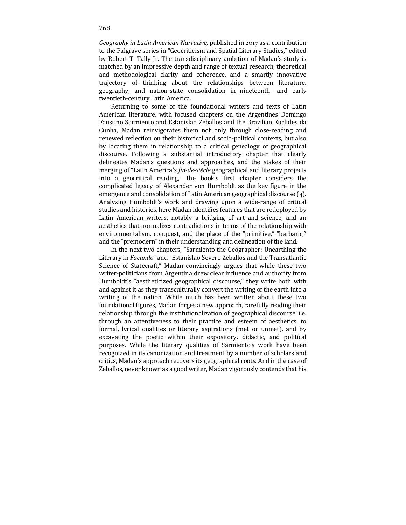*Geography in Latin American Narrative*, published in 2017 as a contribution to the Palgrave series in "Geocriticism and Spatial Literary Studies," edited by Robert T. Tally Jr. The transdisciplinary ambition of Madan's study is matched by an impressive depth and range of textual research, theoretical and methodological clarity and coherence, and a smartly innovative trajectory of thinking about the relationships between literature, geography, and nation-state consolidation in nineteenth- and early twentieth-century Latin America.

Returning to some of the foundational writers and texts of Latin American literature, with focused chapters on the Argentines Domingo Faustino Sarmiento and Estanislao Zeballos and the Brazilian Euclides da Cunha, Madan reinvigorates them not only through close-reading and renewed reflection on their historical and socio-political contexts, but also by locating them in relationship to a critical genealogy of geographical discourse. Following a substantial introductory chapter that clearly delineates Madan's questions and approaches, and the stakes of their merging of "Latin America's *fin-de-siècle* geographical and literary projects into a geocritical reading," the book's first chapter considers the complicated legacy of Alexander von Humboldt as the key figure in the emergence and consolidation of Latin American geographical discourse  $(4)$ . Analyzing Humboldt's work and drawing upon a wide-range of critical studies and histories, here Madan identifies features that are redeployed by Latin American writers, notably a bridging of art and science, and an aesthetics that normalizes contradictions in terms of the relationship with environmentalism, conquest, and the place of the "primitive," "barbaric," and the "premodern" in their understanding and delineation of the land.

In the next two chapters, "Sarmiento the Geographer: Unearthing the Literary in *Facundo*" and "Estanislao Severo Zeballos and the Transatlantic Science of Statecraft," Madan convincingly argues that while these two writer-politicians from Argentina drew clear influence and authority from Humboldt's "aestheticized geographical discourse," they write both with and against it as they transculturally convert the writing of the earth into a writing of the nation. While much has been written about these two foundational figures, Madan forges a new approach, carefully reading their relationship through the institutionalization of geographical discourse, i.e. through an attentiveness to their practice and esteem of aesthetics, to formal, lyrical qualities or literary aspirations (met or unmet), and by excavating the poetic within their expository, didactic, and political purposes. While the literary qualities of Sarmiento's work have been recognized in its canonization and treatment by a number of scholars and critics, Madan's approach recovers its geographical roots. And in the case of Zeballos, never known as a good writer, Madan vigorously contends that his